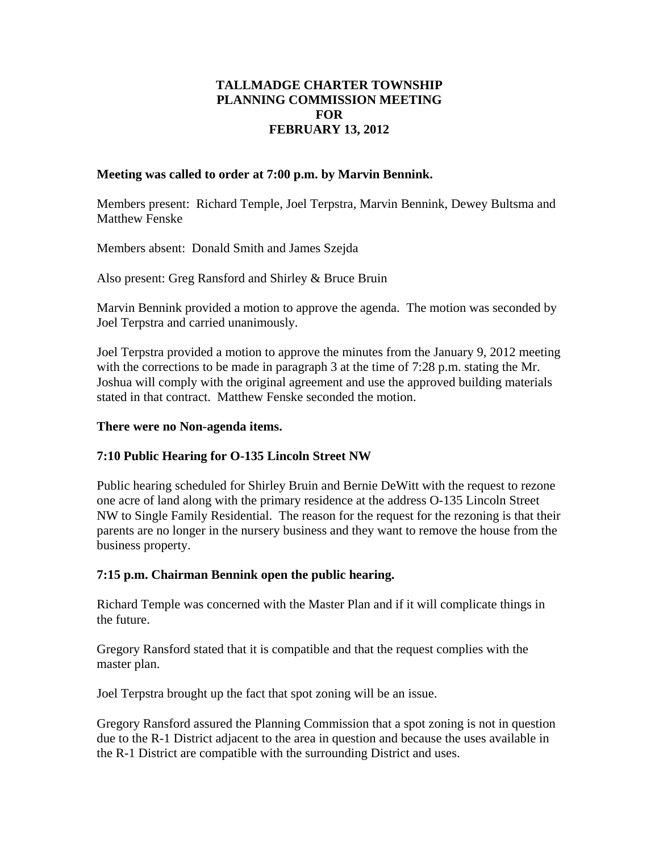# **TALLMADGE CHARTER TOWNSHIP PLANNING COMMISSION MEETING FOR FEBRUARY 13, 2012**

## **Meeting was called to order at 7:00 p.m. by Marvin Bennink.**

Members present: Richard Temple, Joel Terpstra, Marvin Bennink, Dewey Bultsma and Matthew Fenske

Members absent: Donald Smith and James Szejda

Also present: Greg Ransford and Shirley & Bruce Bruin

Marvin Bennink provided a motion to approve the agenda. The motion was seconded by Joel Terpstra and carried unanimously.

Joel Terpstra provided a motion to approve the minutes from the January 9, 2012 meeting with the corrections to be made in paragraph 3 at the time of 7:28 p.m. stating the Mr. Joshua will comply with the original agreement and use the approved building materials stated in that contract. Matthew Fenske seconded the motion.

### **There were no Non-agenda items.**

### **7:10 Public Hearing for O-135 Lincoln Street NW**

Public hearing scheduled for Shirley Bruin and Bernie DeWitt with the request to rezone one acre of land along with the primary residence at the address O-135 Lincoln Street NW to Single Family Residential. The reason for the request for the rezoning is that their parents are no longer in the nursery business and they want to remove the house from the business property.

### **7:15 p.m. Chairman Bennink open the public hearing.**

Richard Temple was concerned with the Master Plan and if it will complicate things in the future.

Gregory Ransford stated that it is compatible and that the request complies with the master plan.

Joel Terpstra brought up the fact that spot zoning will be an issue.

Gregory Ransford assured the Planning Commission that a spot zoning is not in question due to the R-1 District adjacent to the area in question and because the uses available in the R-1 District are compatible with the surrounding District and uses.